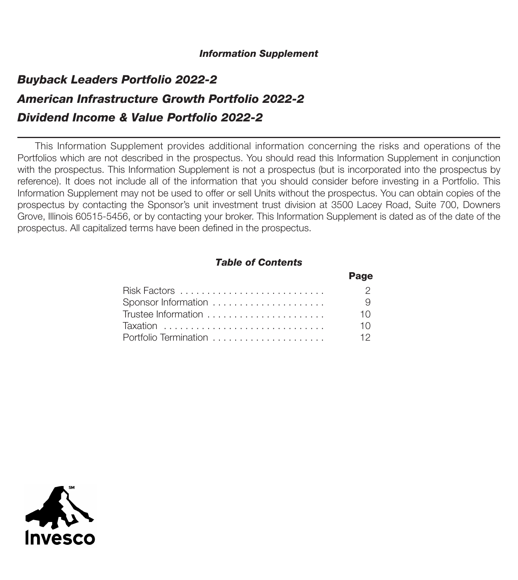#### *Information Supplement*

# *Buyback Leaders Portfolio 2022-2 American Infrastructure Growth Portfolio 2022-2 Dividend Income & Value Portfolio 2022-2*

This Information Supplement provides additional information concerning the risks and operations of the Portfolios which are not described in the prospectus. You should read this Information Supplement in conjunction with the prospectus. This Information Supplement is not a prospectus (but is incorporated into the prospectus by reference). It does not include all of the information that you should consider before investing in a Portfolio. This Information Supplement may not be used to offer or sell Units without the prospectus. You can obtain copies of the prospectus by contacting the Sponsor's unit investment trust division at 3500 Lacey Road, Suite 700, Downers Grove, Illinois 60515-5456, or by contacting your broker. This Information Supplement is dated as of the date of the prospectus. All capitalized terms have been defined in the prospectus.

### *Table of Contents*

|                       | Page |
|-----------------------|------|
|                       | 2    |
| Sponsor Information   | - 9  |
| Trustee Information   | 10   |
| Taxation              | 10   |
| Portfolio Termination | 12.  |

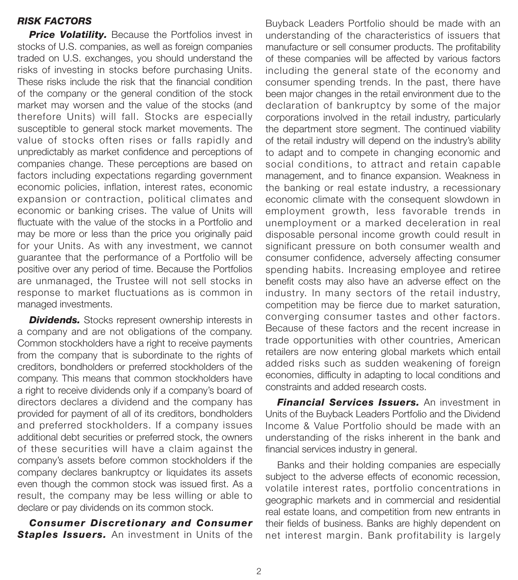# *RISK FACTORS*

**Price Volatility.** Because the Portfolios invest in stocks of U.S. companies, as well as foreign companies traded on U.S. exchanges, you should understand the risks of investing in stocks before purchasing Units. These risks include the risk that the financial condition of the company or the general condition of the stock market may worsen and the value of the stocks (and therefore Units) will fall. Stocks are especially susceptible to general stock market movements. The value of stocks often rises or falls rapidly and unpredictably as market confidence and perceptions of companies change. These perceptions are based on factors including expectations regarding government economic policies, inflation, interest rates, economic expansion or contraction, political climates and economic or banking crises. The value of Units will fluctuate with the value of the stocks in a Portfolio and may be more or less than the price you originally paid for your Units. As with any investment, we cannot guarantee that the performance of a Portfolio will be positive over any period of time. Because the Portfolios are unmanaged, the Trustee will not sell stocks in response to market fluctuations as is common in managed investments.

**Dividends.** Stocks represent ownership interests in a company and are not obligations of the company. Common stockholders have a right to receive payments from the company that is subordinate to the rights of creditors, bondholders or preferred stockholders of the company. This means that common stockholders have a right to receive dividends only if a company's board of directors declares a dividend and the company has provided for payment of all of its creditors, bondholders and preferred stockholders. If a company issues additional debt securities or preferred stock, the owners of these securities will have a claim against the company's assets before common stockholders if the company declares bankruptcy or liquidates its assets even though the common stock was issued first. As a result, the company may be less willing or able to declare or pay dividends on its common stock.

*Consumer Discretionary and Consumer* **Staples Issuers.** An investment in Units of the

Buyback Leaders Portfolio should be made with an understanding of the characteristics of issuers that manufacture or sell consumer products. The profitability of these companies will be affected by various factors including the general state of the economy and consumer spending trends. In the past, there have been major changes in the retail environment due to the declaration of bankruptcy by some of the major corporations involved in the retail industry, particularly the department store segment. The continued viability of the retail industry will depend on the industry's ability to adapt and to compete in changing economic and social conditions, to attract and retain capable management, and to finance expansion. Weakness in the banking or real estate industry, a recessionary economic climate with the consequent slowdown in employment growth, less favorable trends in unemployment or a marked deceleration in real disposable personal income growth could result in significant pressure on both consumer wealth and consumer confidence, adversely affecting consumer spending habits. Increasing employee and retiree benefit costs may also have an adverse effect on the industry. In many sectors of the retail industry, competition may be fierce due to market saturation, converging consumer tastes and other factors. Because of these factors and the recent increase in trade opportunities with other countries, American retailers are now entering global markets which entail added risks such as sudden weakening of foreign economies, difficulty in adapting to local conditions and constraints and added research costs.

*Financial Services Issuers.* An investment in Units of the Buyback Leaders Portfolio and the Dividend Income & Value Portfolio should be made with an understanding of the risks inherent in the bank and financial services industry in general.

Banks and their holding companies are especially subject to the adverse effects of economic recession, volatile interest rates, portfolio concentrations in geographic markets and in commercial and residential real estate loans, and competition from new entrants in their fields of business. Banks are highly dependent on net interest margin. Bank profitability is largely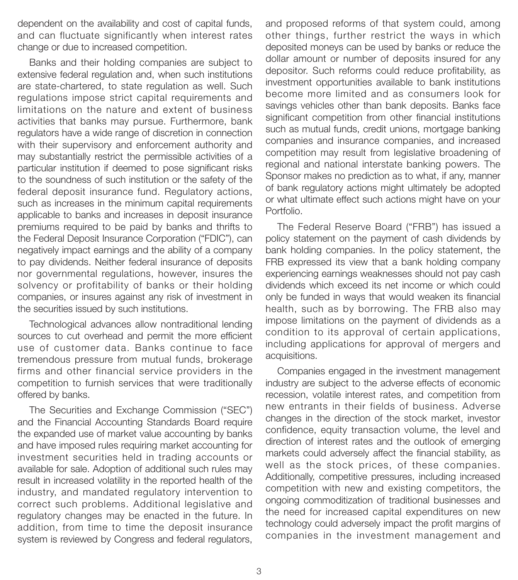dependent on the availability and cost of capital funds, and can fluctuate significantly when interest rates change or due to increased competition.

Banks and their holding companies are subject to extensive federal regulation and, when such institutions are state-chartered, to state regulation as well. Such regulations impose strict capital requirements and limitations on the nature and extent of business activities that banks may pursue. Furthermore, bank regulators have a wide range of discretion in connection with their supervisory and enforcement authority and may substantially restrict the permissible activities of a particular institution if deemed to pose significant risks to the soundness of such institution or the safety of the federal deposit insurance fund. Regulatory actions, such as increases in the minimum capital requirements applicable to banks and increases in deposit insurance premiums required to be paid by banks and thrifts to the Federal Deposit Insurance Corporation ("FDIC"), can negatively impact earnings and the ability of a company to pay dividends. Neither federal insurance of deposits nor governmental regulations, however, insures the solvency or profitability of banks or their holding companies, or insures against any risk of investment in the securities issued by such institutions.

Technological advances allow nontraditional lending sources to cut overhead and permit the more efficient use of customer data. Banks continue to face tremendous pressure from mutual funds, brokerage firms and other financial service providers in the competition to furnish services that were traditionally offered by banks.

The Securities and Exchange Commission ("SEC") and the Financial Accounting Standards Board require the expanded use of market value accounting by banks and have imposed rules requiring market accounting for investment securities held in trading accounts or available for sale. Adoption of additional such rules may result in increased volatility in the reported health of the industry, and mandated regulatory intervention to correct such problems. Additional legislative and regulatory changes may be enacted in the future. In addition, from time to time the deposit insurance system is reviewed by Congress and federal regulators,

and proposed reforms of that system could, among other things, further restrict the ways in which deposited moneys can be used by banks or reduce the dollar amount or number of deposits insured for any depositor. Such reforms could reduce profitability, as investment opportunities available to bank institutions become more limited and as consumers look for savings vehicles other than bank deposits. Banks face significant competition from other financial institutions such as mutual funds, credit unions, mortgage banking companies and insurance companies, and increased competition may result from legislative broadening of regional and national interstate banking powers. The Sponsor makes no prediction as to what, if any, manner of bank regulatory actions might ultimately be adopted or what ultimate effect such actions might have on your Portfolio.

The Federal Reserve Board ("FRB") has issued a policy statement on the payment of cash dividends by bank holding companies. In the policy statement, the FRB expressed its view that a bank holding company experiencing earnings weaknesses should not pay cash dividends which exceed its net income or which could only be funded in ways that would weaken its financial health, such as by borrowing. The FRB also may impose limitations on the payment of dividends as a condition to its approval of certain applications, including applications for approval of mergers and acquisitions.

Companies engaged in the investment management industry are subject to the adverse effects of economic recession, volatile interest rates, and competition from new entrants in their fields of business. Adverse changes in the direction of the stock market, investor confidence, equity transaction volume, the level and direction of interest rates and the outlook of emerging markets could adversely affect the financial stability, as well as the stock prices, of these companies. Additionally, competitive pressures, including increased competition with new and existing competitors, the ongoing commoditization of traditional businesses and the need for increased capital expenditures on new technology could adversely impact the profit margins of companies in the investment management and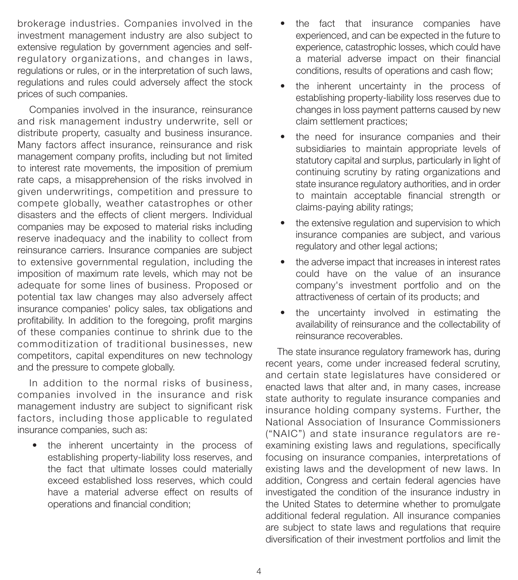brokerage industries. Companies involved in the investment management industry are also subject to extensive regulation by government agencies and selfregulatory organizations, and changes in laws, regulations or rules, or in the interpretation of such laws, regulations and rules could adversely affect the stock prices of such companies.

Companies involved in the insurance, reinsurance and risk management industry underwrite, sell or distribute property, casualty and business insurance. Many factors affect insurance, reinsurance and risk management company profits, including but not limited to interest rate movements, the imposition of premium rate caps, a misapprehension of the risks involved in given underwritings, competition and pressure to compete globally, weather catastrophes or other disasters and the effects of client mergers. Individual companies may be exposed to material risks including reserve inadequacy and the inability to collect from reinsurance carriers. Insurance companies are subject to extensive governmental regulation, including the imposition of maximum rate levels, which may not be adequate for some lines of business. Proposed or potential tax law changes may also adversely affect insurance companies' policy sales, tax obligations and profitability. In addition to the foregoing, profit margins of these companies continue to shrink due to the commoditization of traditional businesses, new competitors, capital expenditures on new technology and the pressure to compete globally.

In addition to the normal risks of business, companies involved in the insurance and risk management industry are subject to significant risk factors, including those applicable to regulated insurance companies, such as:

the inherent uncertainty in the process of establishing property-liability loss reserves, and the fact that ultimate losses could materially exceed established loss reserves, which could have a material adverse effect on results of operations and financial condition;

- the fact that insurance companies have experienced, and can be expected in the future to experience, catastrophic losses, which could have a material adverse impact on their financial conditions, results of operations and cash flow;
- the inherent uncertainty in the process of establishing property-liability loss reserves due to changes in loss payment patterns caused by new claim settlement practices;
- the need for insurance companies and their subsidiaries to maintain appropriate levels of statutory capital and surplus, particularly in light of continuing scrutiny by rating organizations and state insurance regulatory authorities, and in order to maintain acceptable financial strength or claims-paying ability ratings;
- the extensive regulation and supervision to which insurance companies are subject, and various regulatory and other legal actions;
- the adverse impact that increases in interest rates could have on the value of an insurance company's investment portfolio and on the attractiveness of certain of its products; and
- the uncertainty involved in estimating the availability of reinsurance and the collectability of reinsurance recoverables.

The state insurance regulatory framework has, during recent years, come under increased federal scrutiny, and certain state legislatures have considered or enacted laws that alter and, in many cases, increase state authority to regulate insurance companies and insurance holding company systems. Further, the National Association of Insurance Commissioners ("NAIC") and state insurance regulators are reexamining existing laws and regulations, specifically focusing on insurance companies, interpretations of existing laws and the development of new laws. In addition, Congress and certain federal agencies have investigated the condition of the insurance industry in the United States to determine whether to promulgate additional federal regulation. All insurance companies are subject to state laws and regulations that require diversification of their investment portfolios and limit the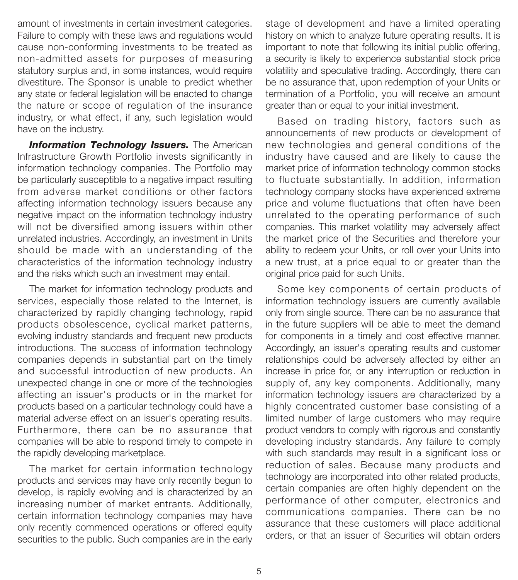amount of investments in certain investment categories. Failure to comply with these laws and regulations would cause non-conforming investments to be treated as non-admitted assets for purposes of measuring statutory surplus and, in some instances, would require divestiture. The Sponsor is unable to predict whether any state or federal legislation will be enacted to change the nature or scope of regulation of the insurance industry, or what effect, if any, such legislation would have on the industry.

**Information Technology Issuers.** The American Infrastructure Growth Portfolio invests significantly in information technology companies. The Portfolio may be particularly susceptible to a negative impact resulting from adverse market conditions or other factors affecting information technology issuers because any negative impact on the information technology industry will not be diversified among issuers within other unrelated industries. Accordingly, an investment in Units should be made with an understanding of the characteristics of the information technology industry and the risks which such an investment may entail.

The market for information technology products and services, especially those related to the Internet, is characterized by rapidly changing technology, rapid products obsolescence, cyclical market patterns, evolving industry standards and frequent new products introductions. The success of information technology companies depends in substantial part on the timely and successful introduction of new products. An unexpected change in one or more of the technologies affecting an issuer's products or in the market for products based on a particular technology could have a material adverse effect on an issuer's operating results. Furthermore, there can be no assurance that companies will be able to respond timely to compete in the rapidly developing marketplace.

The market for certain information technology products and services may have only recently begun to develop, is rapidly evolving and is characterized by an increasing number of market entrants. Additionally, certain information technology companies may have only recently commenced operations or offered equity securities to the public. Such companies are in the early stage of development and have a limited operating history on which to analyze future operating results. It is important to note that following its initial public offering, a security is likely to experience substantial stock price volatility and speculative trading. Accordingly, there can be no assurance that, upon redemption of your Units or termination of a Portfolio, you will receive an amount greater than or equal to your initial investment.

Based on trading history, factors such as announcements of new products or development of new technologies and general conditions of the industry have caused and are likely to cause the market price of information technology common stocks to fluctuate substantially. In addition, information technology company stocks have experienced extreme price and volume fluctuations that often have been unrelated to the operating performance of such companies. This market volatility may adversely affect the market price of the Securities and therefore your ability to redeem your Units, or roll over your Units into a new trust, at a price equal to or greater than the original price paid for such Units.

Some key components of certain products of information technology issuers are currently available only from single source. There can be no assurance that in the future suppliers will be able to meet the demand for components in a timely and cost effective manner. Accordingly, an issuer's operating results and customer relationships could be adversely affected by either an increase in price for, or any interruption or reduction in supply of, any key components. Additionally, many information technology issuers are characterized by a highly concentrated customer base consisting of a limited number of large customers who may require product vendors to comply with rigorous and constantly developing industry standards. Any failure to comply with such standards may result in a significant loss or reduction of sales. Because many products and technology are incorporated into other related products, certain companies are often highly dependent on the performance of other computer, electronics and communications companies. There can be no assurance that these customers will place additional orders, or that an issuer of Securities will obtain orders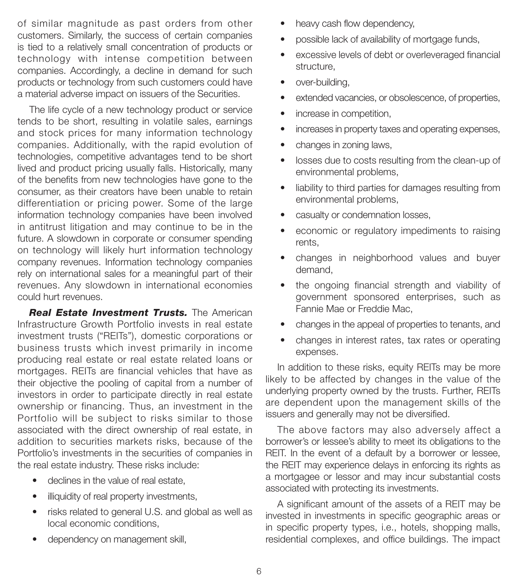of similar magnitude as past orders from other customers. Similarly, the success of certain companies is tied to a relatively small concentration of products or technology with intense competition between companies. Accordingly, a decline in demand for such products or technology from such customers could have a material adverse impact on issuers of the Securities.

The life cycle of a new technology product or service tends to be short, resulting in volatile sales, earnings and stock prices for many information technology companies. Additionally, with the rapid evolution of technologies, competitive advantages tend to be short lived and product pricing usually falls. Historically, many of the benefits from new technologies have gone to the consumer, as their creators have been unable to retain differentiation or pricing power. Some of the large information technology companies have been involved in antitrust litigation and may continue to be in the future. A slowdown in corporate or consumer spending on technology will likely hurt information technology company revenues. Information technology companies rely on international sales for a meaningful part of their revenues. Any slowdown in international economies could hurt revenues.

*Real Estate Investment Trusts.* The American Infrastructure Growth Portfolio invests in real estate investment trusts ("REITs"), domestic corporations or business trusts which invest primarily in income producing real estate or real estate related loans or mortgages. REITs are financial vehicles that have as their objective the pooling of capital from a number of investors in order to participate directly in real estate ownership or financing. Thus, an investment in the Portfolio will be subject to risks similar to those associated with the direct ownership of real estate, in addition to securities markets risks, because of the Portfolio's investments in the securities of companies in the real estate industry. These risks include:

- declines in the value of real estate,
- illiquidity of real property investments,
- risks related to general U.S. and global as well as local economic conditions,
- dependency on management skill,
- heavy cash flow dependency,
- possible lack of availability of mortgage funds,
- excessive levels of debt or overleveraged financial structure,
- over-building,
- extended vacancies, or obsolescence, of properties,
- increase in competition,
- increases in property taxes and operating expenses,
- changes in zoning laws,
- losses due to costs resulting from the clean-up of environmental problems,
- liability to third parties for damages resulting from environmental problems,
- casualty or condemnation losses,
- economic or regulatory impediments to raising rents,
- changes in neighborhood values and buyer demand,
- the ongoing financial strength and viability of government sponsored enterprises, such as Fannie Mae or Freddie Mac,
- changes in the appeal of properties to tenants, and
- changes in interest rates, tax rates or operating expenses.

In addition to these risks, equity REITs may be more likely to be affected by changes in the value of the underlying property owned by the trusts. Further, REITs are dependent upon the management skills of the issuers and generally may not be diversified.

The above factors may also adversely affect a borrower's or lessee's ability to meet its obligations to the REIT. In the event of a default by a borrower or lessee, the REIT may experience delays in enforcing its rights as a mortgagee or lessor and may incur substantial costs associated with protecting its investments.

A significant amount of the assets of a REIT may be invested in investments in specific geographic areas or in specific property types, i.e., hotels, shopping malls, residential complexes, and office buildings. The impact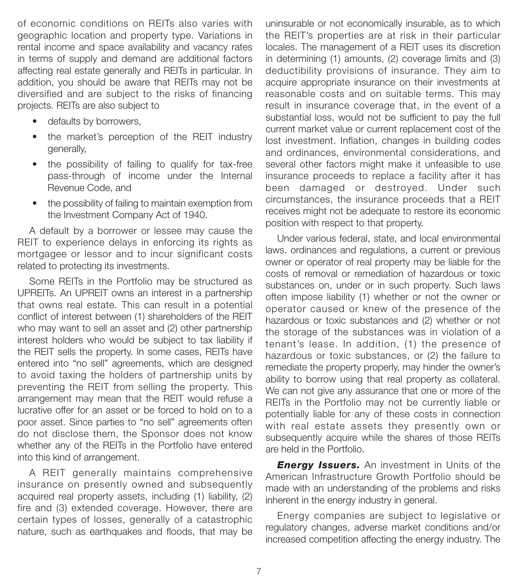of economic conditions on REITs also varies with geographic location and property type. Variations in rental income and space availability and vacancy rates in terms of supply and demand are additional factors affecting real estate generally and REITs in particular. In addition, you should be aware that REITs may not be diversified and are subject to the risks of financing projects. REITs are also subject to

- defaults by borrowers,
- the market's perception of the REIT industry generally,
- the possibility of failing to qualify for tax-free pass-through of income under the Internal Revenue Code, and
- the possibility of failing to maintain exemption from the Investment Company Act of 1940.

A default by a borrower or lessee may cause the REIT to experience delays in enforcing its rights as mortgagee or lessor and to incur significant costs related to protecting its investments.

Some REITs in the Portfolio may be structured as UPREITs. An UPREIT owns an interest in a partnership that owns real estate. This can result in a potential conflict of interest between (1) shareholders of the REIT who may want to sell an asset and (2) other partnership interest holders who would be subject to tax liability if the REIT sells the property. In some cases, REITs have entered into "no sell" agreements, which are designed to avoid taxing the holders of partnership units by preventing the REIT from selling the property. This arrangement may mean that the REIT would refuse a lucrative offer for an asset or be forced to hold on to a poor asset. Since parties to "no sell" agreements often do not disclose them, the Sponsor does not know whether any of the REITs in the Portfolio have entered into this kind of arrangement.

A REIT generally maintains comprehensive insurance on presently owned and subsequently acquired real property assets, including (1) liability, (2) fire and (3) extended coverage. However, there are certain types of losses, generally of a catastrophic nature, such as earthquakes and floods, that may be uninsurable or not economically insurable, as to which the REIT's properties are at risk in their particular locales. The management of a REIT uses its discretion in determining (1) amounts, (2) coverage limits and (3) deductibility provisions of insurance. They aim to acquire appropriate insurance on their investments at reasonable costs and on suitable terms. This may result in insurance coverage that, in the event of a substantial loss, would not be sufficient to pay the full current market value or current replacement cost of the lost investment. Inflation, changes in building codes and ordinances, environmental considerations, and several other factors might make it unfeasible to use insurance proceeds to replace a facility after it has been damaged or destroyed. Under such circumstances, the insurance proceeds that a REIT receives might not be adequate to restore its economic position with respect to that property.

Under various federal, state, and local environmental laws, ordinances and regulations, a current or previous owner or operator of real property may be liable for the costs of removal or remediation of hazardous or toxic substances on, under or in such property. Such laws often impose liability (1) whether or not the owner or operator caused or knew of the presence of the hazardous or toxic substances and (2) whether or not the storage of the substances was in violation of a tenant's lease. In addition, (1) the presence of hazardous or toxic substances, or (2) the failure to remediate the property properly, may hinder the owner's ability to borrow using that real property as collateral. We can not give any assurance that one or more of the REITs in the Portfolio may not be currently liable or potentially liable for any of these costs in connection with real estate assets they presently own or subsequently acquire while the shares of those REITs are held in the Portfolio.

**Energy Issuers.** An investment in Units of the American Infrastructure Growth Portfolio should be made with an understanding of the problems and risks inherent in the energy industry in general.

Energy companies are subject to legislative or regulatory changes, adverse market conditions and/or increased competition affecting the energy industry. The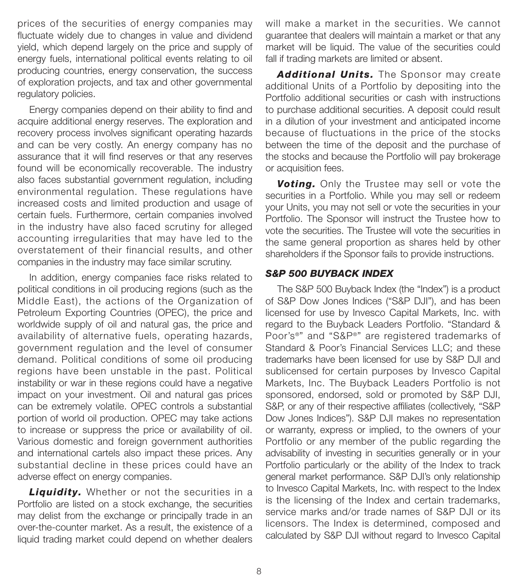prices of the securities of energy companies may fluctuate widely due to changes in value and dividend yield, which depend largely on the price and supply of energy fuels, international political events relating to oil producing countries, energy conservation, the success of exploration projects, and tax and other governmental regulatory policies.

Energy companies depend on their ability to find and acquire additional energy reserves. The exploration and recovery process involves significant operating hazards and can be very costly. An energy company has no assurance that it will find reserves or that any reserves found will be economically recoverable. The industry also faces substantial government regulation, including environmental regulation. These regulations have increased costs and limited production and usage of certain fuels. Furthermore, certain companies involved in the industry have also faced scrutiny for alleged accounting irregularities that may have led to the overstatement of their financial results, and other companies in the industry may face similar scrutiny.

In addition, energy companies face risks related to political conditions in oil producing regions (such as the Middle East), the actions of the Organization of Petroleum Exporting Countries (OPEC), the price and worldwide supply of oil and natural gas, the price and availability of alternative fuels, operating hazards, government regulation and the level of consumer demand. Political conditions of some oil producing regions have been unstable in the past. Political instability or war in these regions could have a negative impact on your investment. Oil and natural gas prices can be extremely volatile. OPEC controls a substantial portion of world oil production. OPEC may take actions to increase or suppress the price or availability of oil. Various domestic and foreign government authorities and international cartels also impact these prices. Any substantial decline in these prices could have an adverse effect on energy companies.

*Liquidity.* Whether or not the securities in a Portfolio are listed on a stock exchange, the securities may delist from the exchange or principally trade in an over-the-counter market. As a result, the existence of a liquid trading market could depend on whether dealers

will make a market in the securities. We cannot guarantee that dealers will maintain a market or that any market will be liquid. The value of the securities could fall if trading markets are limited or absent.

*Additional Units.* The Sponsor may create additional Units of a Portfolio by depositing into the Portfolio additional securities or cash with instructions to purchase additional securities. A deposit could result in a dilution of your investment and anticipated income because of fluctuations in the price of the stocks between the time of the deposit and the purchase of the stocks and because the Portfolio will pay brokerage or acquisition fees.

*Voting.* Only the Trustee may sell or vote the securities in a Portfolio. While you may sell or redeem your Units, you may not sell or vote the securities in your Portfolio. The Sponsor will instruct the Trustee how to vote the securities. The Trustee will vote the securities in the same general proportion as shares held by other shareholders if the Sponsor fails to provide instructions.

# *S&P 500 BUYBACK INDEX*

The S&P 500 Buyback Index (the "Index") is a product of S&P Dow Jones Indices ("S&P DJI"), and has been licensed for use by Invesco Capital Markets, Inc. with regard to the Buyback Leaders Portfolio. "Standard & Poor's®" and "S&P®" are registered trademarks of Standard & Poor's Financial Services LLC; and these trademarks have been licensed for use by S&P DJI and sublicensed for certain purposes by Invesco Capital Markets, Inc. The Buyback Leaders Portfolio is not sponsored, endorsed, sold or promoted by S&P DJI, S&P, or any of their respective affiliates (collectively, "S&P Dow Jones Indices"). S&P DJI makes no representation or warranty, express or implied, to the owners of your Portfolio or any member of the public regarding the advisability of investing in securities generally or in your Portfolio particularly or the ability of the Index to track general market performance. S&P DJI's only relationship to Invesco Capital Markets, Inc. with respect to the Index is the licensing of the Index and certain trademarks, service marks and/or trade names of S&P DJI or its licensors. The Index is determined, composed and calculated by S&P DJI without regard to Invesco Capital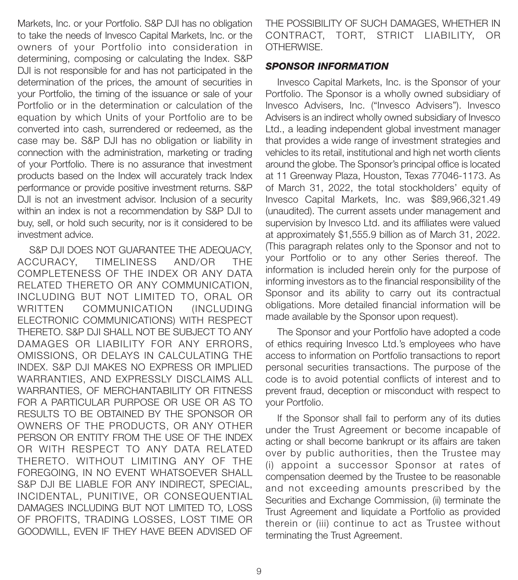Markets, Inc. or your Portfolio. S&P DJI has no obligation to take the needs of Invesco Capital Markets, Inc. or the owners of your Portfolio into consideration in determining, composing or calculating the Index. S&P DJI is not responsible for and has not participated in the determination of the prices, the amount of securities in your Portfolio, the timing of the issuance or sale of your Portfolio or in the determination or calculation of the equation by which Units of your Portfolio are to be converted into cash, surrendered or redeemed, as the case may be. S&P DJI has no obligation or liability in connection with the administration, marketing or trading of your Portfolio. There is no assurance that investment products based on the Index will accurately track Index performance or provide positive investment returns. S&P DJI is not an investment advisor. Inclusion of a security within an index is not a recommendation by S&P DJI to buy, sell, or hold such security, nor is it considered to be investment advice.

S&P DJI DOES NOT GUARANTEE THE ADEQUACY, ACCURACY, TIMELINESS AND/OR THE COMPLETENESS OF THE INDEX OR ANY DATA RELATED THERETO OR ANY COMMUNICATION, INCLUDING BUT NOT LIMITED TO, ORAL OR WRITTEN COMMUNICATION (INCLUDING ELECTRONIC COMMUNICATIONS) WITH RESPECT THERETO. S&P DJI SHALL NOT BE SUBJECT TO ANY DAMAGES OR LIABILITY FOR ANY ERRORS, OMISSIONS, OR DELAYS IN CALCULATING THE INDEX. S&P DJI MAKES NO EXPRESS OR IMPLIED WARRANTIES, AND EXPRESSLY DISCLAIMS ALL WARRANTIES, OF MERCHANTABILITY OR FITNESS FOR A PARTICULAR PURPOSE OR USE OR AS TO RESULTS TO BE OBTAINED BY THE SPONSOR OR OWNERS OF THE PRODUCTS, OR ANY OTHER PERSON OR ENTITY FROM THE USE OF THE INDEX OR WITH RESPECT TO ANY DATA RELATED THERETO. WITHOUT LIMITING ANY OF THE FOREGOING, IN NO EVENT WHATSOEVER SHALL S&P DJI BE LIABLE FOR ANY INDIRECT, SPECIAL, INCIDENTAL, PUNITIVE, OR CONSEQUENTIAL DAMAGES INCLUDING BUT NOT LIMITED TO, LOSS OF PROFITS, TRADING LOSSES, LOST TIME OR GOODWILL, EVEN IF THEY HAVE BEEN ADVISED OF

THE POSSIBILITY OF SUCH DAMAGES, WHETHER IN CONTRACT, TORT, STRICT LIABILITY, OR OTHERWISE.

#### *SPONSOR INFORMATION*

Invesco Capital Markets, Inc. is the Sponsor of your Portfolio. The Sponsor is a wholly owned subsidiary of Invesco Advisers, Inc. ("Invesco Advisers"). Invesco Advisers is an indirect wholly owned subsidiary of Invesco Ltd., a leading independent global investment manager that provides a wide range of investment strategies and vehicles to its retail, institutional and high net worth clients around the globe. The Sponsor's principal office is located at 11 Greenway Plaza, Houston, Texas 77046-1173. As of March 31, 2022, the total stockholders' equity of Invesco Capital Markets, Inc. was \$89,966,321.49 (unaudited). The current assets under management and supervision by Invesco Ltd. and its affiliates were valued at approximately \$1,555.9 billion as of March 31, 2022. (This paragraph relates only to the Sponsor and not to your Portfolio or to any other Series thereof. The information is included herein only for the purpose of informing investors as to the financial responsibility of the Sponsor and its ability to carry out its contractual obligations. More detailed financial information will be made available by the Sponsor upon request).

The Sponsor and your Portfolio have adopted a code of ethics requiring Invesco Ltd.'s employees who have access to information on Portfolio transactions to report personal securities transactions. The purpose of the code is to avoid potential conflicts of interest and to prevent fraud, deception or misconduct with respect to your Portfolio.

If the Sponsor shall fail to perform any of its duties under the Trust Agreement or become incapable of acting or shall become bankrupt or its affairs are taken over by public authorities, then the Trustee may (i) appoint a successor Sponsor at rates of compensation deemed by the Trustee to be reasonable and not exceeding amounts prescribed by the Securities and Exchange Commission, (ii) terminate the Trust Agreement and liquidate a Portfolio as provided therein or (iii) continue to act as Trustee without terminating the Trust Agreement.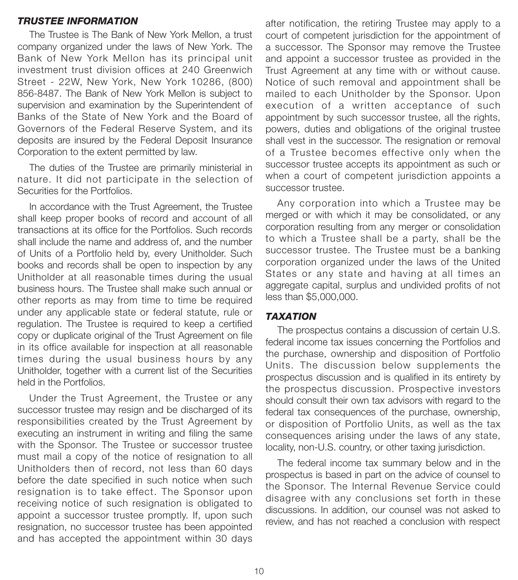#### *TRUSTEE INFORMATION*

The Trustee is The Bank of New York Mellon, a trust company organized under the laws of New York. The Bank of New York Mellon has its principal unit investment trust division offices at 240 Greenwich Street - 22W, New York, New York 10286, (800) 856-8487. The Bank of New York Mellon is subject to supervision and examination by the Superintendent of Banks of the State of New York and the Board of Governors of the Federal Reserve System, and its deposits are insured by the Federal Deposit Insurance Corporation to the extent permitted by law.

The duties of the Trustee are primarily ministerial in nature. It did not participate in the selection of Securities for the Portfolios.

In accordance with the Trust Agreement, the Trustee shall keep proper books of record and account of all transactions at its office for the Portfolios. Such records shall include the name and address of, and the number of Units of a Portfolio held by, every Unitholder. Such books and records shall be open to inspection by any Unitholder at all reasonable times during the usual business hours. The Trustee shall make such annual or other reports as may from time to time be required under any applicable state or federal statute, rule or regulation. The Trustee is required to keep a certified copy or duplicate original of the Trust Agreement on file in its office available for inspection at all reasonable times during the usual business hours by any Unitholder, together with a current list of the Securities held in the Portfolios.

Under the Trust Agreement, the Trustee or any successor trustee may resign and be discharged of its responsibilities created by the Trust Agreement by executing an instrument in writing and filing the same with the Sponsor. The Trustee or successor trustee must mail a copy of the notice of resignation to all Unitholders then of record, not less than 60 days before the date specified in such notice when such resignation is to take effect. The Sponsor upon receiving notice of such resignation is obligated to appoint a successor trustee promptly. If, upon such resignation, no successor trustee has been appointed and has accepted the appointment within 30 days

after notification, the retiring Trustee may apply to a court of competent jurisdiction for the appointment of a successor. The Sponsor may remove the Trustee and appoint a successor trustee as provided in the Trust Agreement at any time with or without cause. Notice of such removal and appointment shall be mailed to each Unitholder by the Sponsor. Upon execution of a written acceptance of such appointment by such successor trustee, all the rights, powers, duties and obligations of the original trustee shall vest in the successor. The resignation or removal of a Trustee becomes effective only when the successor trustee accepts its appointment as such or when a court of competent jurisdiction appoints a successor trustee.

Any corporation into which a Trustee may be merged or with which it may be consolidated, or any corporation resulting from any merger or consolidation to which a Trustee shall be a party, shall be the successor trustee. The Trustee must be a banking corporation organized under the laws of the United States or any state and having at all times an aggregate capital, surplus and undivided profits of not less than \$5,000,000.

## *TAXATION*

The prospectus contains a discussion of certain U.S. federal income tax issues concerning the Portfolios and the purchase, ownership and disposition of Portfolio Units. The discussion below supplements the prospectus discussion and is qualified in its entirety by the prospectus discussion. Prospective investors should consult their own tax advisors with regard to the federal tax consequences of the purchase, ownership, or disposition of Portfolio Units, as well as the tax consequences arising under the laws of any state, locality, non-U.S. country, or other taxing jurisdiction.

The federal income tax summary below and in the prospectus is based in part on the advice of counsel to the Sponsor. The Internal Revenue Service could disagree with any conclusions set forth in these discussions. In addition, our counsel was not asked to review, and has not reached a conclusion with respect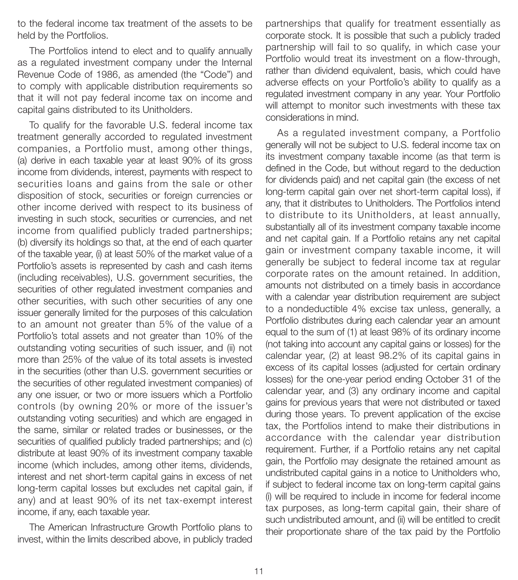to the federal income tax treatment of the assets to be held by the Portfolios.

The Portfolios intend to elect and to qualify annually as a regulated investment company under the Internal Revenue Code of 1986, as amended (the "Code") and to comply with applicable distribution requirements so that it will not pay federal income tax on income and capital gains distributed to its Unitholders.

To qualify for the favorable U.S. federal income tax treatment generally accorded to regulated investment companies, a Portfolio must, among other things, (a) derive in each taxable year at least 90% of its gross income from dividends, interest, payments with respect to securities loans and gains from the sale or other disposition of stock, securities or foreign currencies or other income derived with respect to its business of investing in such stock, securities or currencies, and net income from qualified publicly traded partnerships; (b) diversify its holdings so that, at the end of each quarter of the taxable year, (i) at least 50% of the market value of a Portfolio's assets is represented by cash and cash items (including receivables), U.S. government securities, the securities of other regulated investment companies and other securities, with such other securities of any one issuer generally limited for the purposes of this calculation to an amount not greater than 5% of the value of a Portfolio's total assets and not greater than 10% of the outstanding voting securities of such issuer, and (ii) not more than 25% of the value of its total assets is invested in the securities (other than U.S. government securities or the securities of other regulated investment companies) of any one issuer, or two or more issuers which a Portfolio controls (by owning 20% or more of the issuer's outstanding voting securities) and which are engaged in the same, similar or related trades or businesses, or the securities of qualified publicly traded partnerships; and (c) distribute at least 90% of its investment company taxable income (which includes, among other items, dividends, interest and net short-term capital gains in excess of net long-term capital losses but excludes net capital gain, if any) and at least 90% of its net tax-exempt interest income, if any, each taxable year.

The American Infrastructure Growth Portfolio plans to invest, within the limits described above, in publicly traded partnerships that qualify for treatment essentially as corporate stock. It is possible that such a publicly traded partnership will fail to so qualify, in which case your Portfolio would treat its investment on a flow-through, rather than dividend equivalent, basis, which could have adverse effects on your Portfolio's ability to qualify as a regulated investment company in any year. Your Portfolio will attempt to monitor such investments with these tax considerations in mind.

As a regulated investment company, a Portfolio generally will not be subject to U.S. federal income tax on its investment company taxable income (as that term is defined in the Code, but without regard to the deduction for dividends paid) and net capital gain (the excess of net long-term capital gain over net short-term capital loss), if any, that it distributes to Unitholders. The Portfolios intend to distribute to its Unitholders, at least annually, substantially all of its investment company taxable income and net capital gain. If a Portfolio retains any net capital gain or investment company taxable income, it will generally be subject to federal income tax at regular corporate rates on the amount retained. In addition, amounts not distributed on a timely basis in accordance with a calendar year distribution requirement are subject to a nondeductible 4% excise tax unless, generally, a Portfolio distributes during each calendar year an amount equal to the sum of (1) at least 98% of its ordinary income (not taking into account any capital gains or losses) for the calendar year, (2) at least 98.2% of its capital gains in excess of its capital losses (adjusted for certain ordinary losses) for the one-year period ending October 31 of the calendar year, and (3) any ordinary income and capital gains for previous years that were not distributed or taxed during those years. To prevent application of the excise tax, the Portfolios intend to make their distributions in accordance with the calendar year distribution requirement. Further, if a Portfolio retains any net capital gain, the Portfolio may designate the retained amount as undistributed capital gains in a notice to Unitholders who, if subject to federal income tax on long-term capital gains (i) will be required to include in income for federal income tax purposes, as long-term capital gain, their share of such undistributed amount, and (ii) will be entitled to credit their proportionate share of the tax paid by the Portfolio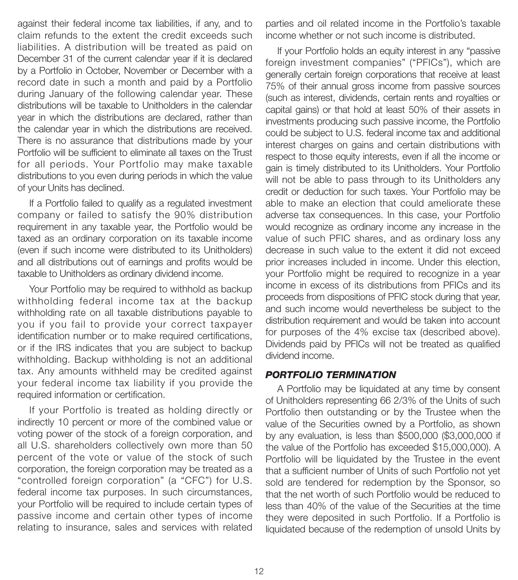against their federal income tax liabilities, if any, and to claim refunds to the extent the credit exceeds such liabilities. A distribution will be treated as paid on December 31 of the current calendar year if it is declared by a Portfolio in October, November or December with a record date in such a month and paid by a Portfolio during January of the following calendar year. These distributions will be taxable to Unitholders in the calendar year in which the distributions are declared, rather than the calendar year in which the distributions are received. There is no assurance that distributions made by your Portfolio will be sufficient to eliminate all taxes on the Trust for all periods. Your Portfolio may make taxable distributions to you even during periods in which the value of your Units has declined.

If a Portfolio failed to qualify as a regulated investment company or failed to satisfy the 90% distribution requirement in any taxable year, the Portfolio would be taxed as an ordinary corporation on its taxable income (even if such income were distributed to its Unitholders) and all distributions out of earnings and profits would be taxable to Unitholders as ordinary dividend income.

Your Portfolio may be required to withhold as backup withholding federal income tax at the backup withholding rate on all taxable distributions payable to you if you fail to provide your correct taxpayer identification number or to make required certifications, or if the IRS indicates that you are subject to backup withholding. Backup withholding is not an additional tax. Any amounts withheld may be credited against your federal income tax liability if you provide the required information or certification.

If your Portfolio is treated as holding directly or indirectly 10 percent or more of the combined value or voting power of the stock of a foreign corporation, and all U.S. shareholders collectively own more than 50 percent of the vote or value of the stock of such corporation, the foreign corporation may be treated as a "controlled foreign corporation" (a "CFC") for U.S. federal income tax purposes. In such circumstances, your Portfolio will be required to include certain types of passive income and certain other types of income relating to insurance, sales and services with related

parties and oil related income in the Portfolio's taxable income whether or not such income is distributed.

If your Portfolio holds an equity interest in any "passive foreign investment companies" ("PFICs"), which are generally certain foreign corporations that receive at least 75% of their annual gross income from passive sources (such as interest, dividends, certain rents and royalties or capital gains) or that hold at least 50% of their assets in investments producing such passive income, the Portfolio could be subject to U.S. federal income tax and additional interest charges on gains and certain distributions with respect to those equity interests, even if all the income or gain is timely distributed to its Unitholders. Your Portfolio will not be able to pass through to its Unitholders any credit or deduction for such taxes. Your Portfolio may be able to make an election that could ameliorate these adverse tax consequences. In this case, your Portfolio would recognize as ordinary income any increase in the value of such PFIC shares, and as ordinary loss any decrease in such value to the extent it did not exceed prior increases included in income. Under this election, your Portfolio might be required to recognize in a year income in excess of its distributions from PFICs and its proceeds from dispositions of PFIC stock during that year, and such income would nevertheless be subject to the distribution requirement and would be taken into account for purposes of the 4% excise tax (described above). Dividends paid by PFICs will not be treated as qualified dividend income.

# *PORTFOLIO TERMINATION*

A Portfolio may be liquidated at any time by consent of Unitholders representing 66 2/3% of the Units of such Portfolio then outstanding or by the Trustee when the value of the Securities owned by a Portfolio, as shown by any evaluation, is less than \$500,000 (\$3,000,000 if the value of the Portfolio has exceeded \$15,000,000). A Portfolio will be liquidated by the Trustee in the event that a sufficient number of Units of such Portfolio not yet sold are tendered for redemption by the Sponsor, so that the net worth of such Portfolio would be reduced to less than 40% of the value of the Securities at the time they were deposited in such Portfolio. If a Portfolio is liquidated because of the redemption of unsold Units by